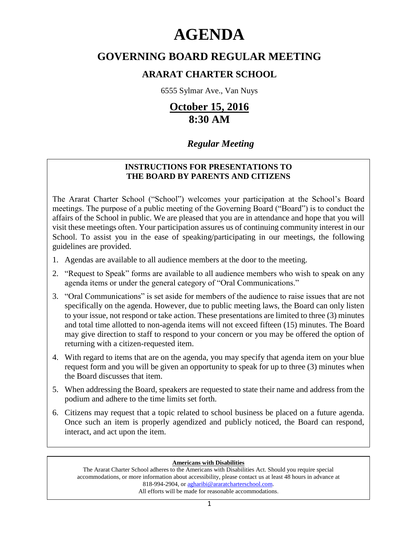# **AGENDA**

# **GOVERNING BOARD REGULAR MEETING**

# **ARARAT CHARTER SCHOOL**

6555 Sylmar Ave., Van Nuys

# **October 15, 2016 8:30 AM**

# *Regular Meeting*

# **INSTRUCTIONS FOR PRESENTATIONS TO THE BOARD BY PARENTS AND CITIZENS**

The Ararat Charter School ("School") welcomes your participation at the School's Board meetings. The purpose of a public meeting of the Governing Board ("Board") is to conduct the affairs of the School in public. We are pleased that you are in attendance and hope that you will visit these meetings often. Your participation assures us of continuing community interest in our School. To assist you in the ease of speaking/participating in our meetings, the following guidelines are provided.

- 1. Agendas are available to all audience members at the door to the meeting.
- 2. "Request to Speak" forms are available to all audience members who wish to speak on any agenda items or under the general category of "Oral Communications."
- 3. "Oral Communications" is set aside for members of the audience to raise issues that are not specifically on the agenda. However, due to public meeting laws, the Board can only listen to your issue, not respond or take action. These presentations are limited to three (3) minutes and total time allotted to non-agenda items will not exceed fifteen (15) minutes. The Board may give direction to staff to respond to your concern or you may be offered the option of returning with a citizen-requested item.
- 4. With regard to items that are on the agenda, you may specify that agenda item on your blue request form and you will be given an opportunity to speak for up to three (3) minutes when the Board discusses that item.
- 5. When addressing the Board, speakers are requested to state their name and address from the podium and adhere to the time limits set forth.
- 6. Citizens may request that a topic related to school business be placed on a future agenda. Once such an item is properly agendized and publicly noticed, the Board can respond, interact, and act upon the item.

### **Americans with Disabilities**

The Ararat Charter School adheres to the Americans with Disabilities Act. Should you require special accommodations, or more information about accessibility, please contact us at least 48 hours in advance at 818-994-2904, or agharibi@araratcharterschool.com. All efforts will be made for reasonable accommodations.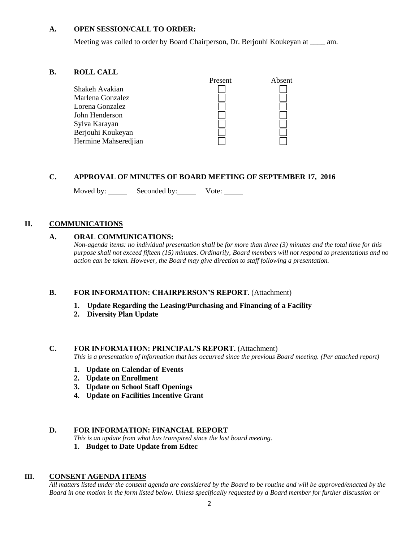#### **A. OPEN SESSION/CALL TO ORDER:**

Meeting was called to order by Board Chairperson, Dr. Berjouhi Koukeyan at \_\_\_\_ am.

#### **B. ROLL CALL**



## **C. APPROVAL OF MINUTES OF BOARD MEETING OF SEPTEMBER 17, 2016**

Moved by: Seconded by: Vote: \_\_\_\_\_

### **II. COMMUNICATIONS**

#### **A. ORAL COMMUNICATIONS:**

*Non-agenda items: no individual presentation shall be for more than three (3) minutes and the total time for this purpose shall not exceed fifteen (15) minutes. Ordinarily, Board members will not respond to presentations and no action can be taken. However, the Board may give direction to staff following a presentation.*

#### **B. FOR INFORMATION: CHAIRPERSON'S REPORT**. (Attachment)

- **1. Update Regarding the Leasing/Purchasing and Financing of a Facility**
- **2. Diversity Plan Update**

#### **C. FOR INFORMATION: PRINCIPAL'S REPORT.** (Attachment)

*This is a presentation of information that has occurred since the previous Board meeting. (Per attached report)*

- **1. Update on Calendar of Events**
- **2. Update on Enrollment**
- **3. Update on School Staff Openings**
- **4. Update on Facilities Incentive Grant**

#### **D. FOR INFORMATION: FINANCIAL REPORT**

- *This is an update from what has transpired since the last board meeting.*
- **1. Budget to Date Update from Edtec**

#### **III. CONSENT AGENDA ITEMS**

*All matters listed under the consent agenda are considered by the Board to be routine and will be approved/enacted by the Board in one motion in the form listed below. Unless specifically requested by a Board member for further discussion or*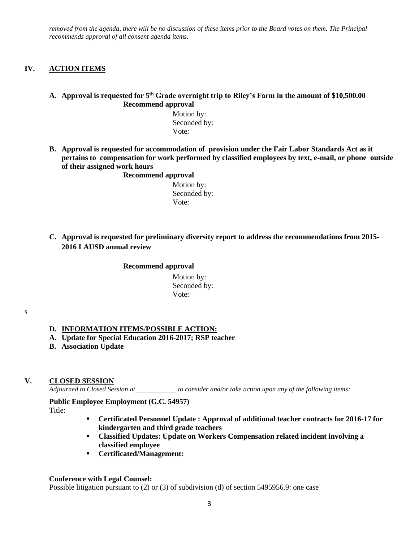*removed from the agenda, there will be no discussion of these items prior to the Board votes on them. The Principal recommends approval of all consent agenda items.*

#### **IV. ACTION ITEMS**

#### **A. Approval is requested for 5 th Grade overnight trip to Riley's Farm in the amount of \$10,500.00 Recommend approval**

 Motion by: Seconded by: Vote:

**B. Approval is requested for accommodation of provision under the Fair Labor Standards Act as it pertains to compensation for work performed by classified employees by text, e-mail, or phone outside of their assigned work hours** 

**Recommend approval**

 Motion by: Seconded by: Vote:

**C. Approval is requested for preliminary diversity report to address the recommendations from 2015- 2016 LAUSD annual review**

#### **Recommend approval**

 Motion by: Seconded by: Vote:

#### s

#### **D. INFORMATION ITEMS**/**POSSIBLE ACTION:**

- **A. Update for Special Education 2016-2017; RSP teacher**
- **B. Association Update**

#### **V. CLOSED SESSION**

*Adjourned to Closed Session at\_\_\_\_\_\_\_\_\_\_\_\_ to consider and/or take action upon any of the following items:*

**Public Employee Employment (G.C. 54957)** Title:

- **Certificated Personnel Update : Approval of additional teacher contracts for 2016-17 for kindergarten and third grade teachers**
- **Classified Updates: Update on Workers Compensation related incident involving a classified employee**
- **Certificated/Management:**

#### **Conference with Legal Counsel:**

Possible litigation pursuant to (2) or (3) of subdivision (d) of section 5495956.9: one case